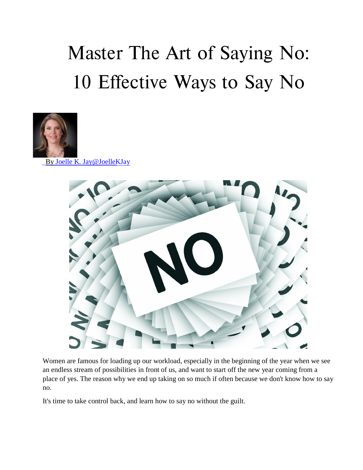## **Master The Art of Saying No: 10 Effective Ways to Say No**



By Joelle K. Jay@JoelleKJay



Women are famous for loading up our workload, especially in the beginning of the year when we see an endless stream of possibilities in front of us, and want to start off the new year coming from a place of yes. The reason why we end up taking on so much if often because we don't know how to say no.

It's time to take control back, and learn how to say no without the guilt.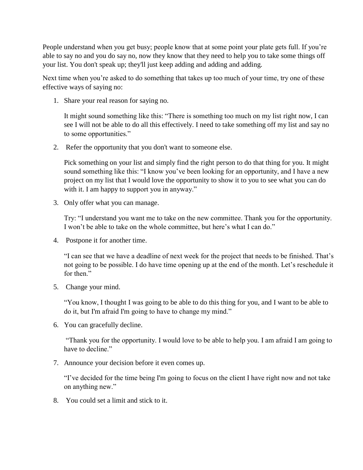People understand when you get busy; people know that at some point your plate gets full. If you're able to say no and you do say no, now they know that they need to help you to take some things off your list. You don't speak up; they'll just keep adding and adding and adding.

Next time when you're asked to do something that takes up too much of your time, try one of these effective ways of saying no:

1. Share your real reason for saying no.

It might sound something like this: "There is something too much on my list right now, I can see I will not be able to do all this effectively. I need to take something off my list and say no to some opportunities."

2. Refer the opportunity that you don't want to someone else.

Pick something on your list and simply find the right person to do that thing for you. It might sound something like this: "I know you've been looking for an opportunity, and I have a new project on my list that I would love the opportunity to show it to you to see what you can do with it. I am happy to support you in anyway."

3. Only offer what you can manage.

Try: "I understand you want me to take on the new committee. Thank you for the opportunity. I won't be able to take on the whole committee, but here's what I can do."

4. Postpone it for another time.

"I can see that we have a deadline of next week for the project that needs to be finished. That's not going to be possible. I do have time opening up at the end of the month. Let's reschedule it for then."

5. Change your mind.

"You know, I thought I was going to be able to do this thing for you, and I want to be able to do it, but I'm afraid I'm going to have to change my mind."

6. You can gracefully decline.

"Thank you for the opportunity. I would love to be able to help you. I am afraid I am going to have to decline."

7. Announce your decision before it even comes up.

"I've decided for the time being I'm going to focus on the client I have right now and not take on anything new."

8. You could set a limit and stick to it.